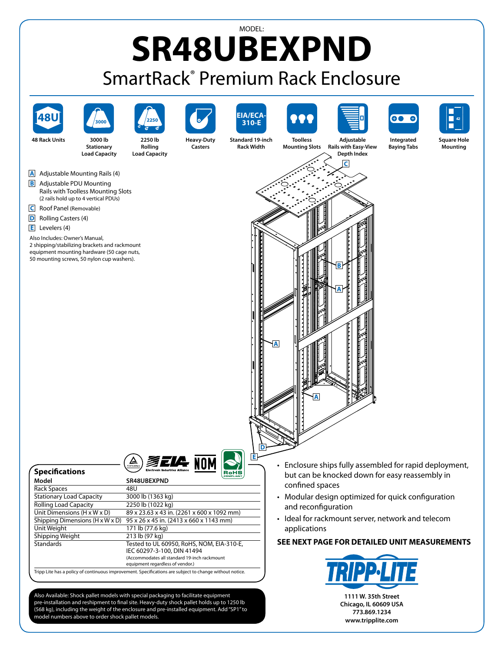## MODEL: **SR48UBEXPND** SmartRack® Premium Rack Enclosure









**48 Rack Units 3000 lb Stationary Load Capacity**

**2250 lb Rolling Load Capacity**



**Heavy-Duty Casters**







**Integrated Baying Tabs**



**Square Hole Mounting**

**A** Adjustable Mounting Rails (4)

- **B** Adjustable PDU Mounting Rails with Toolless Mounting Slots (2 rails hold up to 4 vertical PDUs)
- **C** Roof Panel (Removable)
- **D** Rolling Casters (4)

**Specifications**

**E** Levelers (4)

Also Includes: Owner's Manual, 2 shipping/stabilizing brackets and rackmount

equipment mounting hardware (50 cage nuts, 50 mounting screws, 50 nylon cup washers).





| JPLLIILUUUIIJ                                                                                                          | -----                                        |
|------------------------------------------------------------------------------------------------------------------------|----------------------------------------------|
| Model                                                                                                                  | SR48UBEXPND                                  |
| Rack Spaces                                                                                                            | 48U                                          |
| <b>Stationary Load Capacity</b>                                                                                        | 3000 lb (1363 kg)                            |
| <b>Rolling Load Capacity</b>                                                                                           | 2250 lb (1022 kg)                            |
| Unit Dimensions $(H \times W \times D)$                                                                                | 89 x 23.63 x 43 in. (2261 x 600 x 1092 mm)   |
| Shipping Dimensions $(H \times W \times D)$                                                                            | 95 x 26 x 45 in. (2413 x 660 x 1143 mm)      |
| Unit Weight                                                                                                            | 171 lb (77.6 kg)                             |
| Shipping Weight                                                                                                        | 213 lb (97 kg)                               |
| <b>Standards</b>                                                                                                       | Tested to UL 60950, RoHS, NOM, EIA-310-E,    |
|                                                                                                                        | IEC 60297-3-100, DIN 41494                   |
|                                                                                                                        | (Accommodates all standard 19-inch rackmount |
|                                                                                                                        | equipment regardless of vendor.)             |
| Table 1 the best of the reflection of the second contract for reflections are collected as a change order contract the |                                              |

Tripp Lite has a policy of continuous improvement. Specifications are subject to change without notice.

Also Available: Shock pallet models with special packaging to facilitate equipment pre-installation and reshipment to final site. Heavy-duty shock pallet holds up to 1250 lb (568 kg), including the weight of the enclosure and pre-installed equipment. Add "SP1" to model numbers above to order shock pallet models.

- Enclosure ships fully assembled for rapid deployment, but can be knocked down for easy reassembly in confined spaces
- Modular design optimized for quick configuration and reconfiguration
- Ideal for rackmount server, network and telecom applications

## **SEE NEXT PAGE FOR DETAILED UNIT MEASUREMENTS**



**1111 W. 35th Street Chicago, IL 60609 USA 773.869.1234 www.tripplite.com**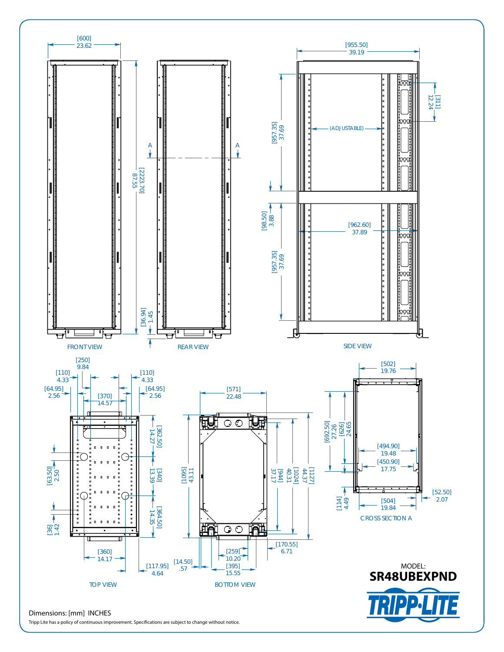

Tripp Lite has a policy of continuous improvement. Specifications are subject to change without notice.